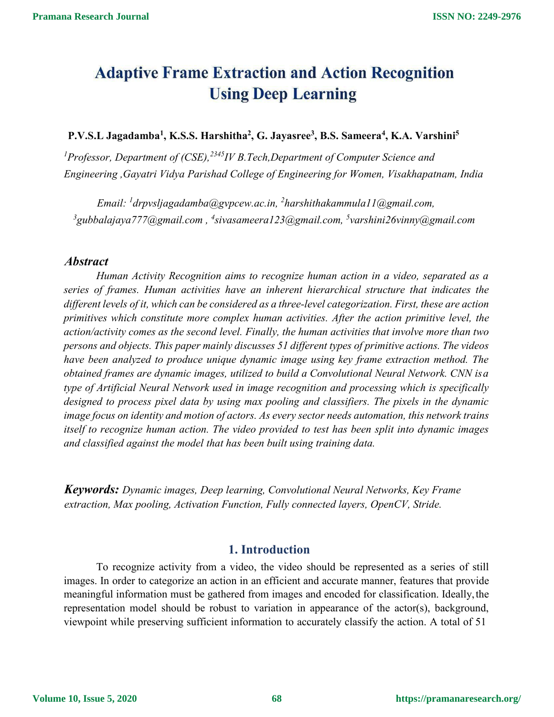# **Adaptive Frame Extraction and Action Recognition Using Deep Learning**

#### **P.V.S.L Jagadamba 1 , K.S.S. Harshitha 2 , G. Jayasree 3 , B.S. Sameera 4 , K.A. Varshini<sup>5</sup>**

*<sup>1</sup>Professor, Department of (CSE),<sup>2345</sup> IV B.Tech,Department of Computer Science and Engineering ,Gayatri Vidya Parishad College of Engineering for Women, Visakhapatnam, India*

*Email: <sup>1</sup>[drpvsljagadamba@gvpcew.ac.in,](mailto:1drpvsljagadamba@gvpcew.ac.in) <sup>2</sup>[harshithakammula11@gmail.com,](mailto:2harshithakammula11@gmail.com) <sup>3</sup>[gubbalajaya777@gmail.com](mailto:3gubbalajaya777@gmail.com) , <sup>4</sup>[sivasameera123@gmail.com,](mailto:4varshini26vinny@gmail.com) [5](mailto:%2C5sivasameera123@gmail.com)varshini26vinny@gmail.com*

#### *Abstract*

*Human Activity Recognition aims to recognize human action in a video,separated as a series of frames. Human activities have an inherent hierarchical structure that indicates the dif erent levels of it, which can beconsidered as a three-level categorization. First, these are action primitives which constitute more complex human activities. After the action primitive level, the action/activity comes as the second level. Finally, the human activities that involve more than two persons and objects. This paper mainly discusses 51 dif erent types of primitive actions. The videos have been analyzed to produce unique dynamic image using key frame extraction method. The obtained frames are dynamic images, utilized to build a Convolutional Neural Network. CNN isa type of Artificial Neural Network used in image recognition and processing which is specifically designed to process pixel data by using max pooling and classifiers. The pixels in the dynamic image focus on identity and motion of actors. As every sector needs automation, this network trains itself to recognize human action. The video provided to test has been split into dynamic images and classified against the model that has been built using training data.*

*Keywords: Dynamic images, Deep learning, Convolutional Neural Networks, Key Frame extraction, Max pooling, Activation Function, Fully connected layers, OpenCV, Stride.*

#### **1. Introduction**

To recognize activity from a video, the video should be represented as a series of still images. In order to categorize an action in an efficient and accurate manner, features that provide meaningful information must be gathered from images and encoded for classification. Ideally,the representation model should be robust to variation in appearance of the actor(s), background, viewpoint while preserving sufficient information to accurately classify the action. A total of 51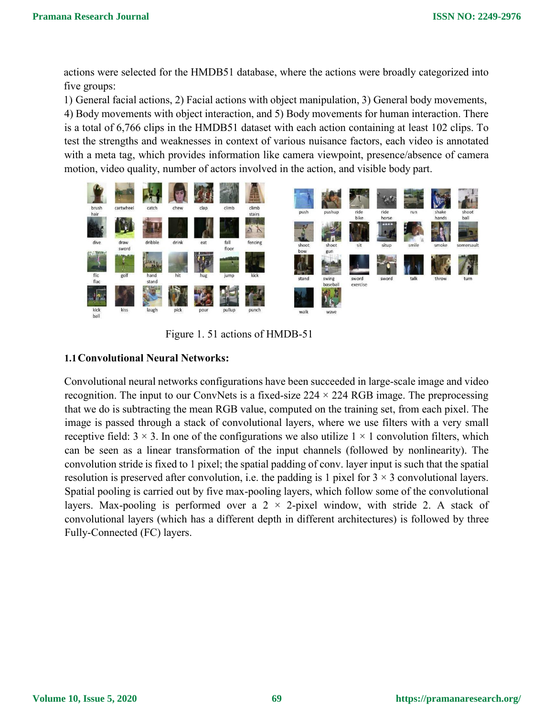actions were selected for the HMDB51 database, where the actions were broadly categorized into five groups:

1) General facial actions, 2) Facial actions with object manipulation, 3) General body movements, 4) Body movements with object interaction, and 5) Body movements for human interaction. There is a total of  $6,766$  clips in the HMDB51 dataset with each action containing at least 102 clips. To test the strengths and weaknesses in context of various nuisance factors, each video is annotated with a meta tag, which provides information like camera viewpoint, presence/absence of camera motion, video quality, number of actors involved in the action, and visible body part.



Figure 1.51 actions of HMDB-51

#### **1.1Convolutional Neural Networks:**

Convolutional neural networks configurations have been succeeded in large-scale image and video recognition. The input to our ConvNets is a fixed-size  $224 \times 224$  RGB image. The preprocessing that we do is subtracting the mean RGB value, computed on the training set, from each pixel. The image is passed through a stack of convolutional layers, where we use filters with a very small receptive field:  $3 \times 3$ . In one of the configurations we also utilize  $1 \times 1$  convolution filters, which can be seen as a linear transformation of the input channels (followed by nonlinearity). The convolution stride is fixed to 1 pixel; the spatial padding of conv. layer input is such that the spatial resolution is preserved after convolution, i.e. the padding is 1 pixel for  $3 \times 3$  convolutional layers. Spatial pooling is carried out by five max-pooling layers, which follow some of the convolutional layers. Max-pooling is performed over a  $2 \times 2$ -pixel window, with stride 2. A stack of convolutional layers (which has a different depth in different architectures) is followed by three Fully-Connected (FC) layers.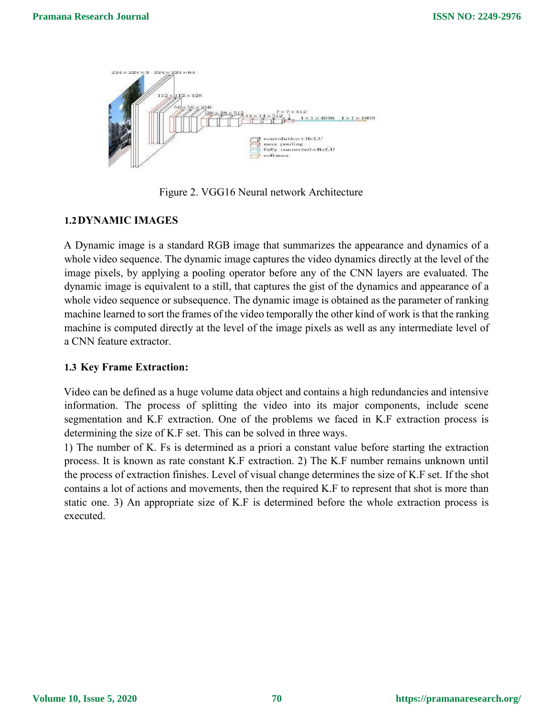

Figure 2. VGG16 Neural network Architecture

#### **1.2DYNAMIC IMAGES**

A Dynamic image isa standard RGB image that summarizes the appearance and dynamics of a whole video sequence. The dynamic image captures the video dynamics directly at the level of the image pixels, by applying a pooling operator before any of the CNN layers are evaluated. The dynamic image is equivalent to a still, that captures the gist of the dynamics and appearance of a whole video sequence or subsequence. The dynamic image is obtained as the parameter of ranking machine learned to sort the frames of the video temporally the other kind of work is that the ranking machine is computed directly at the level of the image pixels as well as any intermediate level of a CNN feature extractor.

#### **1.3 Key Frame Extraction:**

Video can be defined as a huge volume data object and contains a high redundancies and intensive information. The process of splitting the video into its major components, include scene segmentation and K.F extraction. One of the problems we faced in K.F extraction process is determining the size of K.F set. This can be solved in three ways.<br>1) The number of K. Fs is determined as a priori a constant value before starting the extraction

process. It is known as rate constant K.F extraction. 2) The K.F number remains unknown until the process of extraction finishes. Level of visual change determines the size of K.F set. If the shot contains a lot of actions and movements, then the required K.F to represent that shot is more than static one. 3) An appropriate size of K.F is determined before the whole extraction process is executed.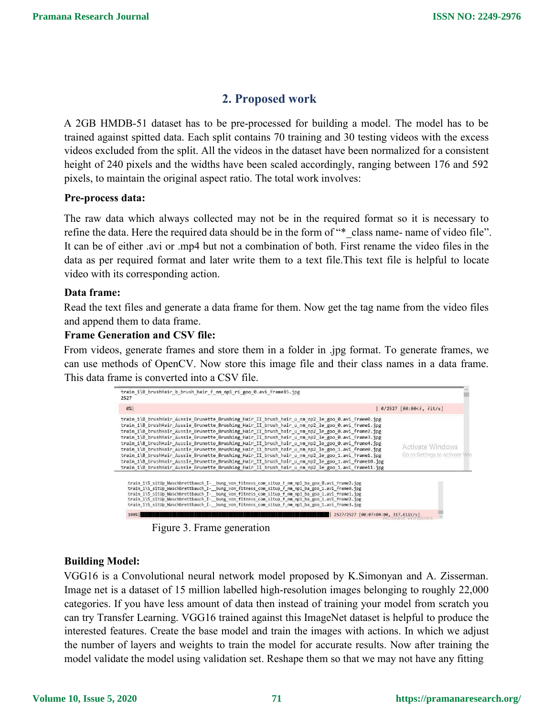# **2. Proposed work**

A 2GB HMDB-51 dataset has to be pre-processed for building a model. The model has to be trained against spitted data. Each split contains 70 training and 30 testing videos with the excess videos excluded from the split. All the videos in the dataset have been normalized for a consistent height of 240 pixels and the widths have been scaled accordingly, ranging between 176 and 592 pixels, to maintain the original aspect ratio. The total work involves:

#### **Pre-process data:**

The raw data which always collected may not be in the required format so it is necessary to refine the data. Here the required data should be in the form of "\* class name- name of video file". It can be of either .avi or .mp4 but not a combination of both. First rename the video files in the data as per required format and later write them to a text file. This text file is helpful to locate video with its corresponding action.

#### **Data frame:**

Read the text files and generate a data frame for them. Now get the tag name from the video files and append them to data frame.

#### **Frame Generation and CSV file:**

From videos, generate frames and store them in a folder in .jpg format. To generate frames, we can use methods of OpenCV. Now store this image file and their class names in a data frame. This data frame is converted into a CSV file.

| train 1\B brushHair_b_brush_hair_f_nm_np1_ri_goo_0.avi_frame15.jpg<br>2527                                                                                                                                                                                                                                                                                                                                                                                                                                                                                                                                                                                                                                                                                                                                                                                                                                                         |                                                |
|------------------------------------------------------------------------------------------------------------------------------------------------------------------------------------------------------------------------------------------------------------------------------------------------------------------------------------------------------------------------------------------------------------------------------------------------------------------------------------------------------------------------------------------------------------------------------------------------------------------------------------------------------------------------------------------------------------------------------------------------------------------------------------------------------------------------------------------------------------------------------------------------------------------------------------|------------------------------------------------|
| $ 0\% $                                                                                                                                                                                                                                                                                                                                                                                                                                                                                                                                                                                                                                                                                                                                                                                                                                                                                                                            | $0/2527$ [00:00 , ?it/s]</th                   |
| train 1\B brushHair Aussie Brunette Brushing Hair II brush hair u nm np2 le goo 0.avi frame0.jpg<br>train 1\B brushHair Aussie Brunette Brushing Hair II brush hair u nm np2 le goo 0.avi frame1.jpg<br>train 1\B brushHair Aussie Brunette Brushing Hair II brush hair u nm np2 le goo 0.avi frame2.jpg<br>train 1\B brushHair Aussie Brunette Brushing Hair II brush hair u nm np2 le goo 0.avi frame3.jpg<br>train 1\B brushHair Aussie Brunette Brushing Hair II brush hair u nm np2 le goo 0.avi frame4.jpg<br>train 1\B brushHair Aussie Brunette Brushing Hair II brush hair u nm np2 le goo 1.avi frame0.jpg<br>train 1\B brushHair Aussie Brunette Brushing Hair II brush hair u nm np2 le goo 1.avi frame1.jpg<br>train 1\B brushHair Aussie Brunette Brushing Hair II brush hair u nm np2 le goo 1.avi frame10.jpg<br>train 1\B brushHair Aussie Brunette Brushing Hair II brush hair u nm np2 le goo 1.avi frame11.jpg | Activate Windows<br>Go to Settings to activate |
| train_1\S_sitUp_Waschbrettbauch_I-__bung_von_+itness_com_situp_+_nm_np1_ba_goo_0.avi_+rame2.jpg<br>train 1\S sitUp Waschbrettbauch I- bung von fitness com situp f nm np1 ba goo 1.avi frame0.jpg<br>train 1\S sitUp Waschbrettbauch I- bung von fitness com situp f nm np1 ba goo 1.avi frame1.jpg<br>train 1\5 sitUp Waschbrettbauch I- bung von fitness com situp f nm np1 ba goo 1.avi frame2.jpg<br>train_1\S_sitUp_Waschbrettbauch_I-__bung_von_fitness_com_situp_f_nm_np1_ba_goo_1.avi frame3.jpg<br>2527/2527 [00:07<00:00, 317.61it/s]                                                                                                                                                                                                                                                                                                                                                                                    |                                                |

Figure 3. Frame generation

#### **Building Model:**

VGG16 is a Convolutional neural network model proposed by K.Simonyan and A. Zisserman. Image net is a dataset of 15 million labelled high-resolution images belonging to roughly 22,000 categories. If you have less amount of data then instead of training your model from scratch you can try Transfer Learning. VGG16 trained against this ImageNet dataset is helpful to produce the interested features. Create the base model and train the images with actions. In which we adjust the number of layers and weights to train the model for accurate results. Now after training the model validate the model using validation set. Reshape them so that we may not have any fitting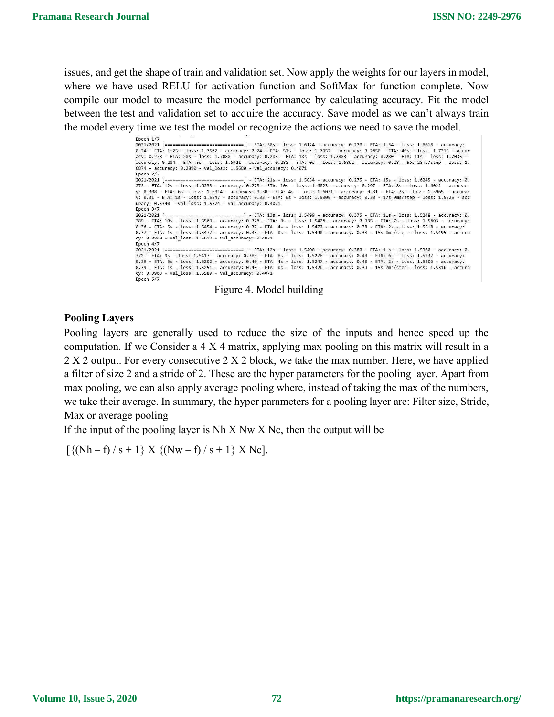issues, and get the shape of train and validation set. Now apply the weights for our layers in model, where we have used RELU for activation function and SoftMax for function complete. Now compile our model to measure the model performance by calculating accuracy. Fit the model between the test and validation set to acquire the accuracy. Save model as we can't always train the model every time we test the model or recognize the actions we need to save the model.

> Epoch 1/7 ------------] - ETA: 58s - loss: 1.6124 - accuracy: 0.220 - ETA: 1:34 - loss: 1.6618 - accuracy:  $2021/2021$  [======== 2021/02/02 - ETA: 1123 - 1055: 1.7562 - accuracy: 0.24 - ETA: 575 - 1055: 1.7352 - accuracy: 0.2650 - ETA: 495 - 1055: 1.7218 - accuracy: 0.24 - ETA: 495 - 1055: 1.7218 - accur<br>acy: 0.278 - ETA: 285 - 1055: 1.7088 - accura accuracy: 0.284 - ETA: 5s - loss: 1.6921 - accuracy: 0.288 - ETA: 0s - loss: 1.6892 - accuracy: 0.28 - 56s 28ms/step - loss: 1.<br>6874 - accuracy: 0.2890 - val\_loss: 1.5680 - val\_accuracy: 0.4071  $Enoch$   $2/7$  $2021/2021$  [= -----------] - ETA: 21s - loss: 1.5834 - accuracy: 0.275 - ETA: 15s - loss: 1.6245 accuracy: 0. 272 - ETA: 18 - 10ss: 1.6233 - accuracy: 0.278 - ETA: 10s - 10ss: 1.6023 - accuracy: 0.297 - ETA: 8s - 10ss: 1.6022 - accuracy: 0.278 - ETA: 19s - 10ss: 1.6023 - accuracy: 0.277 - ETA: 8s - 10ss: 1.6022 - accuracy<br>y: 0.38 uracy: 0.3340 - val\_loss: 1.5574 - val\_accuracy: 0.4071 Epoch 3/7 cy: 0.3840 - val\_loss: 1.5612 - val\_accuracy: 0.4071 Epoch 4/7 ==============] - ETA: 12s - loss: 1.5408 - accuracy: 0.380 - ETA: 11s - loss: 1.5360 - accuracy: 0. 2021/2021 [===========  $Enoch$  5/7



#### **Pooling Layers**

Pooling layers are generally used to reduce the size of the inputs and hence speed up the computation. If we Consider a 4 X 4 matrix, applying max pooling on this matrix will result in a  $2 X 2$  output. For every consecutive  $2 X 2$  block, we take the max number. Here, we have applied a filter of size 2 and a stride of 2. These are the hyper parameters for the pooling layer. Apart from max pooling, we can also apply average pooling where, instead of taking the max of the numbers, we take their average. In summary, the hyper parameters for a pooling layer are: Filter size, Stride, Max or average pooling

If the input of the pooling layer is  $Nh X Nw X Nc$ , then the output will be

 $\left[ \{ (Nh - f) / s + 1 \} X \{ (Nw - f) / s + 1 \} X No \right].$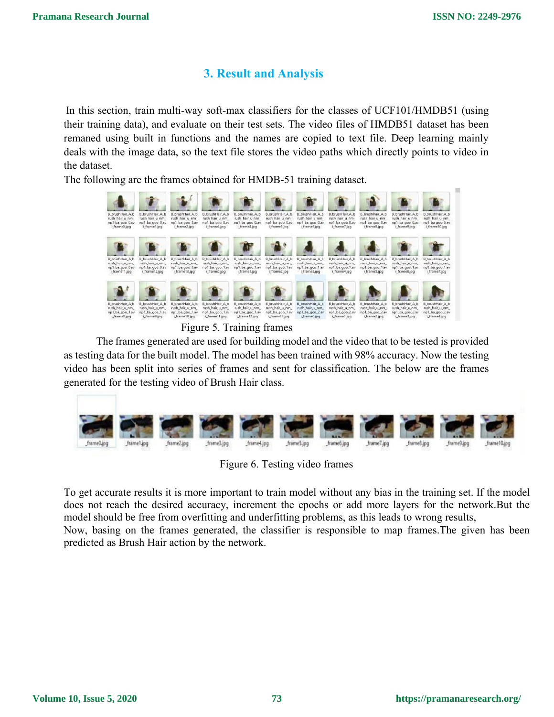# **3. Result and Analysis**

In this section, train multi-way soft-max classifiers for the classes of UCF101/HMDB51 (using their training data), and evaluate on their test sets. The video files of HMDB51 dataset has been remaned using built in functions and the names are copied to text file. Deep learning mainly deals with the image data, so the text file stores the video paths which directly points to video in the dataset.

The following are the frames obtained for HMDB-51 training dataset.



Figure 5. Training frames

The frames generated are used for building model and the video that to be tested is provided as testing data for the built model. The model has been trained with 98% accuracy. Now the testing video has been split into series of frames and sent for classification. The below are the frames generated for the testing video of Brush Hair class.



Figure 6. Testing video frames

To get accurate results it is more important to train model without any bias in the training set. If the model does not reach the desired accuracy, increment the epochs or add more layers for the network.But the model should be free from overfitting and underfitting problems, as this leads to wrong results,

Now, basing on the frames generated, the classifier is responsible to map frames.The given has been predicted as Brush Hair action by the network.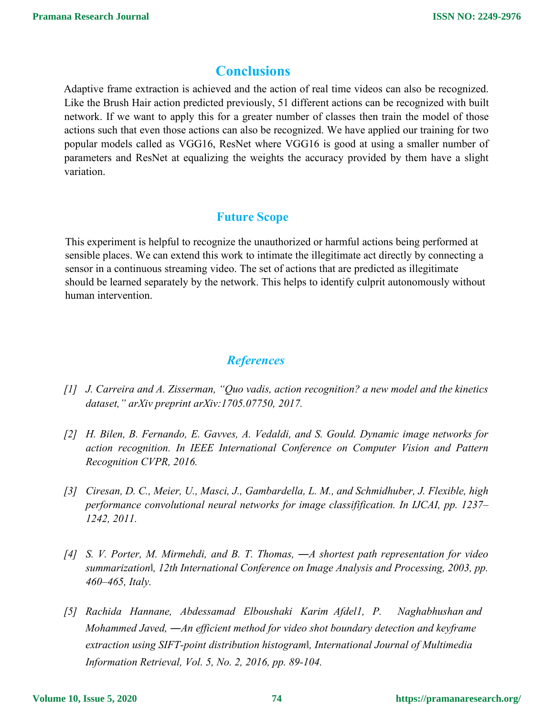## **Conclusions**

Adaptive frame extraction is achieved and the action of real time videos can also be recognized. Like the Brush Hair action predicted previously, 51 different actions can be recognized with built network. If we want to apply this for a greater number of classes then train the model of those actions such that even those actions can also be recognized. We have applied our training for two popular models called as VGG16, ResNet where VGG16 is good at using a smaller number of parameters and ResNet at equalizing the weights the accuracy provided by them have a slight variation.

### **Future Scope**

This experiment is helpful to recognize the unauthorized or harmful actions being performed at sensible places. We can extend this work to intimate the illegitimate act directly by connecting a sensor in a continuous streaming video. The set of actions that are predicted as illegitimate should be learned separately by the network. This helps to identify culprit autonomously without human intervention.

## *References*

- *[1] J. Carreira and A. Zisserman, "Quo vadis, action recognition? a new model and the kinetics dataset," arXiv preprint arXiv:1705.07750, 2017.*
- *[2] H. Bilen, B. Fernando, E. Gavves, A. Vedaldi, and S. Gould. Dynamic image networks for action recognition. In IEEE International Conference on Computer Vision and Pattern Recognition CVPR, 2016.*
- *[3] Ciresan, D. C., Meier, U., Masci, J., Gambardella, L. M., and Schmidhuber, J. Flexible, high performance convolutional neural networks for image classifification. In IJCAI, pp. 1237– 1242, 2011.*
- *[4] S. V. Porter, M. Mirmehdi, and B. T. Thomas, ―A shortest path representation for video summarization‖, 12th International Conference on Image Analysis and Processing, 2003, pp. 460–465, Italy.*
- *[5] Rachida Hannane, Abdessamad Elboushaki Karim Afdel1, P. Naghabhushan and Mohammed Javed, ―An ef icient method for video shot boundary detection and keyframe extraction using SIFT-point distribution histogram‖, International Journal of Multimedia Information Retrieval, Vol. 5, No. 2, 2016, pp. 89-104.*